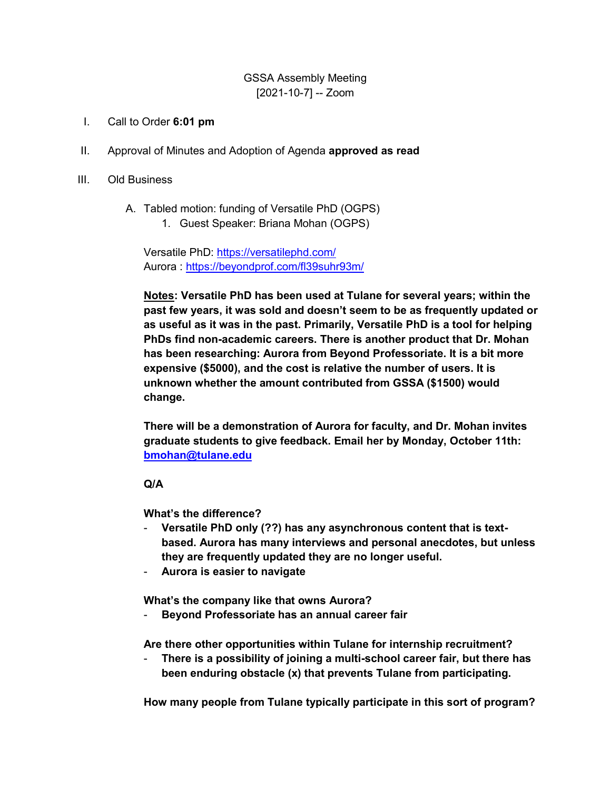## GSSA Assembly Meeting [2021-10-7] -- Zoom

- I. Call to Order **6:01 pm**
- II. Approval of Minutes and Adoption of Agenda **approved as read**
- III. Old Business
	- A. Tabled motion: funding of Versatile PhD (OGPS)
		- 1. Guest Speaker: Briana Mohan (OGPS)

Versatile PhD:<https://versatilephd.com/> Aurora :<https://beyondprof.com/fl39suhr93m/>

**Notes: Versatile PhD has been used at Tulane for several years; within the past few years, it was sold and doesn't seem to be as frequently updated or as useful as it was in the past. Primarily, Versatile PhD is a tool for helping PhDs find non-academic careers. There is another product that Dr. Mohan has been researching: Aurora from Beyond Professoriate. It is a bit more expensive (\$5000), and the cost is relative the number of users. It is unknown whether the amount contributed from GSSA (\$1500) would change.** 

**There will be a demonstration of Aurora for faculty, and Dr. Mohan invites graduate students to give feedback. Email her by Monday, October 11th: [bmohan@tulane.edu](mailto:bmohan@tulane.edu)**

#### **Q/A**

**What's the difference?** 

- **Versatile PhD only (??) has any asynchronous content that is textbased. Aurora has many interviews and personal anecdotes, but unless they are frequently updated they are no longer useful.**
- **Aurora is easier to navigate**

**What's the company like that owns Aurora?** 

- **Beyond Professoriate has an annual career fair** 

**Are there other opportunities within Tulane for internship recruitment?** 

There is a possibility of joining a multi-school career fair, but there has **been enduring obstacle (x) that prevents Tulane from participating.** 

**How many people from Tulane typically participate in this sort of program?**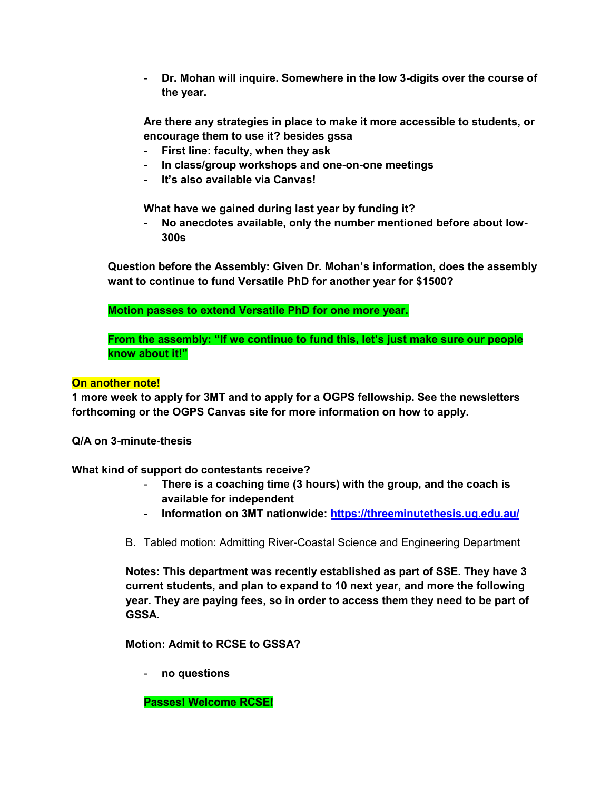- **Dr. Mohan will inquire. Somewhere in the low 3-digits over the course of the year.** 

**Are there any strategies in place to make it more accessible to students, or encourage them to use it? besides gssa** 

- **First line: faculty, when they ask**
- **In class/group workshops and one-on-one meetings**
- **It's also available via Canvas!**

**What have we gained during last year by funding it?** 

- **No anecdotes available, only the number mentioned before about low-300s**

**Question before the Assembly: Given Dr. Mohan's information, does the assembly want to continue to fund Versatile PhD for another year for \$1500?** 

**Motion passes to extend Versatile PhD for one more year.** 

**From the assembly: "If we continue to fund this, let's just make sure our people know about it!"**

## **On another note!**

**1 more week to apply for 3MT and to apply for a OGPS fellowship. See the newsletters forthcoming or the OGPS Canvas site for more information on how to apply.** 

**Q/A on 3-minute-thesis** 

**What kind of support do contestants receive?** 

- **There is a coaching time (3 hours) with the group, and the coach is available for independent**
- **Information on 3MT nationwide:<https://threeminutethesis.uq.edu.au/>**
- B. Tabled motion: Admitting River-Coastal Science and Engineering Department

**Notes: This department was recently established as part of SSE. They have 3 current students, and plan to expand to 10 next year, and more the following year. They are paying fees, so in order to access them they need to be part of GSSA.** 

**Motion: Admit to RCSE to GSSA?** 

- **no questions** 

**Passes! Welcome RCSE!**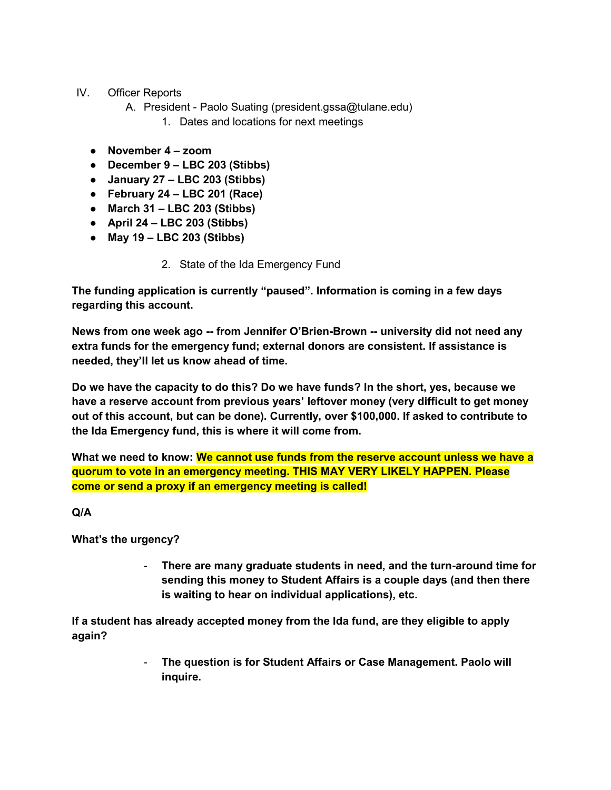# IV. Officer Reports

- A. President Paolo Suating (president.gssa@tulane.edu)
	- 1. Dates and locations for next meetings
- **November 4 – zoom**
- **December 9 – LBC 203 (Stibbs)**
- **January 27 – LBC 203 (Stibbs)**
- **February 24 – LBC 201 (Race)**
- **March 31 – LBC 203 (Stibbs)**
- **April 24 – LBC 203 (Stibbs)**
- **May 19 – LBC 203 (Stibbs)** 
	- 2. State of the Ida Emergency Fund

**The funding application is currently "paused". Information is coming in a few days regarding this account.** 

**News from one week ago -- from Jennifer O'Brien-Brown -- university did not need any extra funds for the emergency fund; external donors are consistent. If assistance is needed, they'll let us know ahead of time.**

**Do we have the capacity to do this? Do we have funds? In the short, yes, because we have a reserve account from previous years' leftover money (very difficult to get money out of this account, but can be done). Currently, over \$100,000. If asked to contribute to the Ida Emergency fund, this is where it will come from.** 

**What we need to know: We cannot use funds from the reserve account unless we have a quorum to vote in an emergency meeting. THIS MAY VERY LIKELY HAPPEN. Please come or send a proxy if an emergency meeting is called!** 

# **Q/A**

**What's the urgency?** 

- **There are many graduate students in need, and the turn-around time for sending this money to Student Affairs is a couple days (and then there is waiting to hear on individual applications), etc.** 

**If a student has already accepted money from the Ida fund, are they eligible to apply again?** 

> - **The question is for Student Affairs or Case Management. Paolo will inquire.**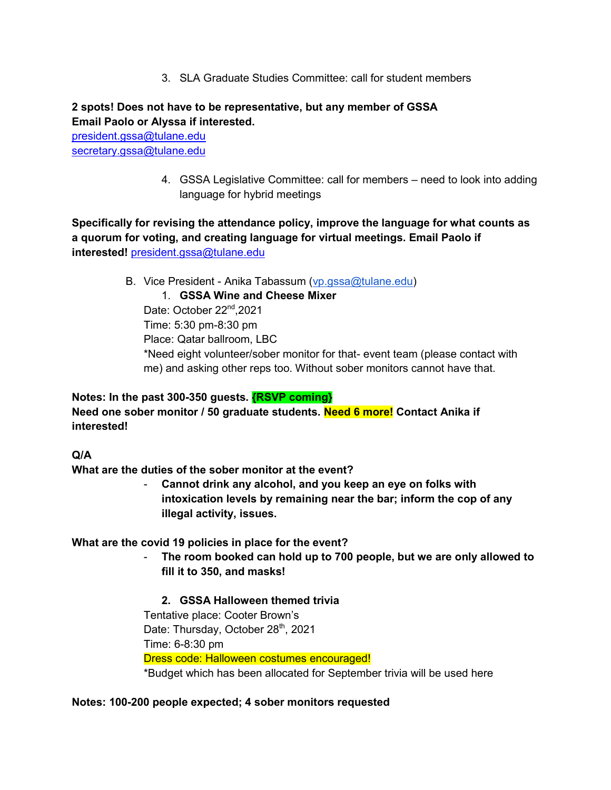3. SLA Graduate Studies Committee: call for student members

# **2 spots! Does not have to be representative, but any member of GSSA Email Paolo or Alyssa if interested.**

[president.gssa@tulane.edu](mailto:president.gssa@tulane.edu) [secretary.gssa@tulane.edu](mailto:secretary.gssa@tulane.edu)

> 4. GSSA Legislative Committee: call for members – need to look into adding language for hybrid meetings

**Specifically for revising the attendance policy, improve the language for what counts as a quorum for voting, and creating language for virtual meetings. Email Paolo if interested!** [president.gssa@tulane.edu](mailto:president.gssa@tulane.edu)

B. Vice President - Anika Tabassum (vp. assa@tulane.edu)

## 1. **GSSA Wine and Cheese Mixer**

Date: October 22<sup>nd</sup>, 2021 Time: 5:30 pm-8:30 pm Place: Qatar ballroom, LBC \*Need eight volunteer/sober monitor for that- event team (please contact with me) and asking other reps too. Without sober monitors cannot have that.

# **Notes: In the past 300-350 guests. {RSVP coming} Need one sober monitor / 50 graduate students. Need 6 more! Contact Anika if interested!**

**Q/A** 

**What are the duties of the sober monitor at the event?** 

- **Cannot drink any alcohol, and you keep an eye on folks with intoxication levels by remaining near the bar; inform the cop of any illegal activity, issues.** 

# **What are the covid 19 policies in place for the event?**

- **The room booked can hold up to 700 people, but we are only allowed to fill it to 350, and masks!** 

# **2. GSSA Halloween themed trivia**

Tentative place: Cooter Brown's Date: Thursday, October 28<sup>th</sup>, 2021 Time: 6-8:30 pm Dress code: Halloween costumes encouraged! \*Budget which has been allocated for September trivia will be used here

### **Notes: 100-200 people expected; 4 sober monitors requested**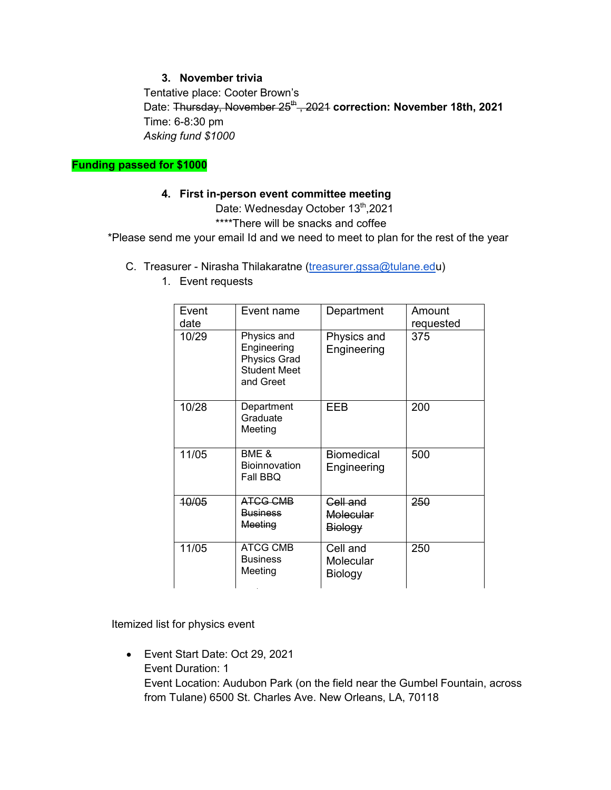### **3. November trivia**

Tentative place: Cooter Brown's Date: Thursday, November 25<sup>th</sup>, 2021 correction: November 18th, 2021 Time: 6-8:30 pm *Asking fund \$1000* 

**Funding passed for \$1000** 

#### **4. First in-person event committee meeting**

Date: Wednesday October 13<sup>th</sup>,2021

\*\*\*\*There will be snacks and coffee

\*Please send me your email Id and we need to meet to plan for the rest of the year

C. Treasurer - Nirasha Thilakaratne [\(treasurer.gssa@tulane.edu](mailto:treasurer.gssa@tulane.edu))

| Event<br>date | Event name                                                                            | Department                       | Amount<br>requested |
|---------------|---------------------------------------------------------------------------------------|----------------------------------|---------------------|
| 10/29         | Physics and<br>Engineering<br><b>Physics Grad</b><br><b>Student Meet</b><br>and Greet | Physics and<br>Engineering       | 375                 |
| 10/28         | Department<br>Graduate<br>Meeting                                                     | EEB                              | 200                 |
| 11/05         | BME &<br><b>Bioinnovation</b><br>Fall BBQ                                             | <b>Biomedical</b><br>Engineering | 500                 |
| 10/05         | <b>ATCG CMB</b><br><b>Business</b><br>Meeting                                         | Cell and<br>Molecular<br>Biology | 250                 |
| 11/05         | <b>ATCG CMB</b><br><b>Business</b><br>Meeting                                         | Cell and<br>Molecular<br>Biology | 250                 |

1. Event requests

Itemized list for physics event

 Event Start Date: Oct 29, 2021 Event Duration: 1 Event Location: Audubon Park (on the field near the Gumbel Fountain, across from Tulane) 6500 St. Charles Ave. New Orleans, LA, 70118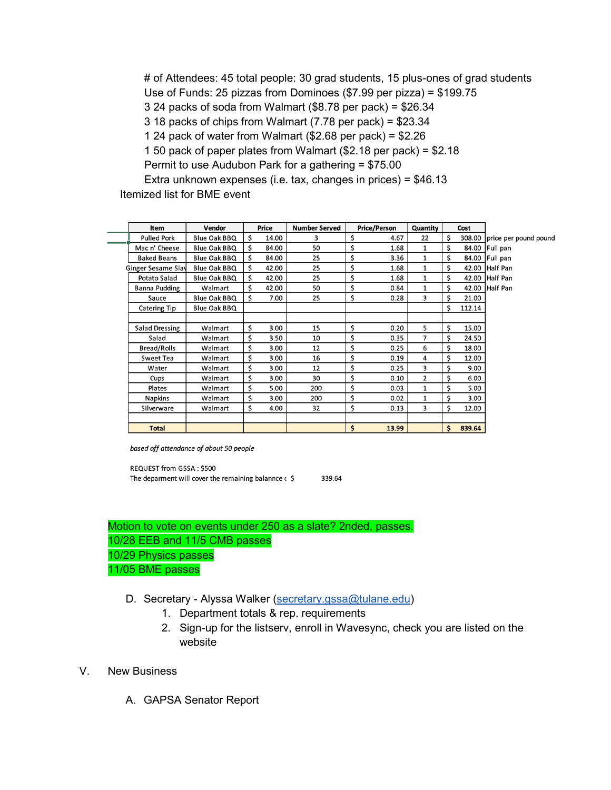# of Attendees: 45 total people: 30 grad students, 15 plus-ones of grad students Use of Funds: 25 pizzas from Dominoes (\$7.99 per pizza) = \$199.75 3 24 packs of soda from Walmart (\$8.78 per pack) = \$26.34 3 18 packs of chips from Walmart (7.78 per pack) = \$23.34 1 24 pack of water from Walmart (\$2.68 per pack) = \$2.26 1 50 pack of paper plates from Walmart (\$2.18 per pack) = \$2.18 Permit to use Audubon Park for a gathering = \$75.00 Extra unknown expenses (i.e. tax, changes in prices) = \$46.13

Itemized list for BME event

| Item                  | Vendor       |                    |       | <b>Number Served</b> |    |       | Quantity            | Cost         |                                                                                                                  |
|-----------------------|--------------|--------------------|-------|----------------------|----|-------|---------------------|--------------|------------------------------------------------------------------------------------------------------------------|
| <b>Pulled Pork</b>    | Blue Oak BBQ | Ś.                 | 14.00 | 3                    | \$ | 4.67  | 22                  | \$           |                                                                                                                  |
| Mac n' Cheese         | Blue Oak BBQ | Ś                  | 84.00 | 50                   | \$ | 1.68  | $\mathbf{1}$        | \$           |                                                                                                                  |
| <b>Baked Beans</b>    | Blue Oak BBQ | \$                 | 84.00 | 25                   | \$ | 3.36  | $\mathbf{1}$        | \$           |                                                                                                                  |
|                       | Blue Oak BBQ | \$                 | 42.00 | 25                   | \$ | 1.68  | $\mathbf{1}$        | \$<br>42.00  |                                                                                                                  |
| Potato Salad          | Blue Oak BBQ | Ś                  | 42.00 | 25                   | \$ | 1.68  | $\mathbf{1}$        | \$           |                                                                                                                  |
| Banna Pudding         | Walmart      | Ś                  | 42.00 | 50                   | \$ | 0.84  | $\mathbf{1}$        | \$           |                                                                                                                  |
| Sauce                 | Blue Oak BBQ | \$                 | 7.00  | 25                   | \$ | 0.28  | 3                   | \$<br>21.00  |                                                                                                                  |
| <b>Catering Tip</b>   | Blue Oak BBQ |                    |       |                      |    |       |                     | \$<br>112.14 |                                                                                                                  |
|                       |              |                    |       |                      |    |       |                     |              |                                                                                                                  |
| <b>Salad Dressing</b> | Walmart      | \$                 | 3.00  | 15                   | \$ | 0.20  | 5                   | \$<br>15.00  |                                                                                                                  |
| Salad                 | Walmart      | \$                 | 3.50  | 10                   | \$ | 0.35  | $\overline{7}$      | \$<br>24.50  |                                                                                                                  |
| <b>Bread/Rolls</b>    | Walmart      | \$                 | 3.00  | 12                   | \$ | 0.25  | 6                   | \$<br>18.00  |                                                                                                                  |
| <b>Sweet Tea</b>      | Walmart      | \$                 | 3.00  | 16                   | \$ | 0.19  | 4                   | \$<br>12.00  |                                                                                                                  |
| Water                 | Walmart      | \$                 | 3.00  | 12                   | \$ | 0.25  | 3                   | \$<br>9.00   |                                                                                                                  |
| Cups                  | Walmart      | \$                 | 3.00  | 30                   | \$ | 0.10  | $\overline{2}$      | \$<br>6.00   |                                                                                                                  |
| Plates                | Walmart      | \$                 | 5.00  | 200                  | \$ | 0.03  | $\mathbf{1}$        | \$<br>5.00   |                                                                                                                  |
| <b>Napkins</b>        | Walmart      | \$                 | 3.00  | 200                  | \$ | 0.02  | $\mathbf{1}$        | \$<br>3.00   |                                                                                                                  |
| Silverware            | Walmart      | \$                 | 4.00  | 32                   | \$ | 0.13  | 3                   | \$<br>12.00  |                                                                                                                  |
|                       |              |                    |       |                      |    |       |                     |              |                                                                                                                  |
| <b>Total</b>          |              |                    |       |                      | \$ | 13.99 |                     | \$<br>839.64 |                                                                                                                  |
|                       |              | Ginger Sesame Slay |       | Price                |    |       | <b>Price/Person</b> |              | 308.00 price per pound pound<br>84.00 Full pan<br>84.00 Full pan<br>Half Pan<br>42.00 Half Pan<br>42.00 Half Pan |

based off attendance of about 50 people

REQUEST from GSSA: \$500 The deparment will cover the remaining balannce  $\epsilon$  \$ 339.64

Motion to vote on events under 250 as a slate? 2nded, passes. 10/28 EEB and 11/5 CMB passes 10/29 Physics passes 11/05 BME passes

- D. Secretary Alyssa Walker [\(secretary.gssa@tulane.edu\)](mailto:secretary.gssa@tulane.edu)
	- 1. Department totals & rep. requirements
	- 2. Sign-up for the listserv, enroll in Wavesync, check you are listed on the website
- V. New Business
	- A. GAPSA Senator Report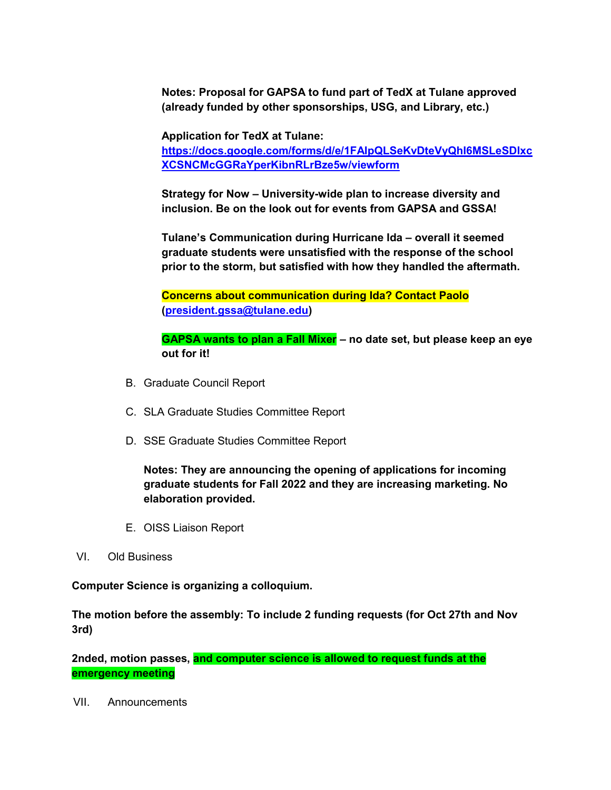**Notes: Proposal for GAPSA to fund part of TedX at Tulane approved (already funded by other sponsorships, USG, and Library, etc.)** 

**Application for TedX at Tulane:** 

**[https://docs.google.com/forms/d/e/1FAIpQLSeKvDteVyQhI6MSLeSDIxc](https://docs.google.com/forms/d/e/1FAIpQLSeKvDteVyQhI6MSLeSDIxcXCSNCMcGGRaYperKibnRLrBze5w/viewform) [XCSNCMcGGRaYperKibnRLrBze5w/viewform](https://docs.google.com/forms/d/e/1FAIpQLSeKvDteVyQhI6MSLeSDIxcXCSNCMcGGRaYperKibnRLrBze5w/viewform)**

**Strategy for Now – University-wide plan to increase diversity and inclusion. Be on the look out for events from GAPSA and GSSA!** 

**Tulane's Communication during Hurricane Ida – overall it seemed graduate students were unsatisfied with the response of the school prior to the storm, but satisfied with how they handled the aftermath.** 

**Concerns about communication during Ida? Contact Paolo [\(president.gssa@tulane.edu\)](mailto:president.gssa@tulane.edu)** 

**GAPSA wants to plan a Fall Mixer – no date set, but please keep an eye out for it!** 

- B. Graduate Council Report
- C. SLA Graduate Studies Committee Report
- D. SSE Graduate Studies Committee Report

**Notes: They are announcing the opening of applications for incoming graduate students for Fall 2022 and they are increasing marketing. No elaboration provided.** 

- E. OISS Liaison Report
- VI. Old Business

**Computer Science is organizing a colloquium.** 

**The motion before the assembly: To include 2 funding requests (for Oct 27th and Nov 3rd)** 

**2nded, motion passes, and computer science is allowed to request funds at the emergency meeting** 

VII. Announcements